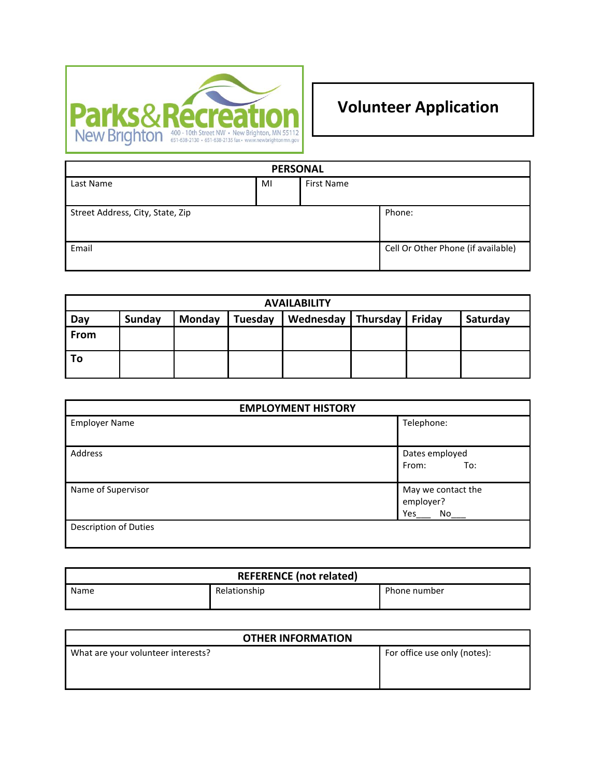

# **Volunteer Application**

| <b>PERSONAL</b>                  |    |                   |                                    |  |
|----------------------------------|----|-------------------|------------------------------------|--|
| Last Name                        | MI | <b>First Name</b> |                                    |  |
|                                  |    |                   |                                    |  |
| Street Address, City, State, Zip |    |                   | Phone:                             |  |
| Email                            |    |                   | Cell Or Other Phone (if available) |  |

| <b>AVAILABILITY</b> |        |               |         |                               |  |          |
|---------------------|--------|---------------|---------|-------------------------------|--|----------|
| Day                 | Sunday | <b>Monday</b> | Tuesday | Wednesday   Thursday   Friday |  | Saturday |
| From                |        |               |         |                               |  |          |
| To                  |        |               |         |                               |  |          |

| <b>EMPLOYMENT HISTORY</b> |                                              |  |  |
|---------------------------|----------------------------------------------|--|--|
| <b>Employer Name</b>      | Telephone:                                   |  |  |
| Address                   | Dates employed<br>From:<br>To:               |  |  |
| Name of Supervisor        | May we contact the<br>employer?<br>Yes<br>No |  |  |
| Description of Duties     |                                              |  |  |

| <b>REFERENCE (not related)</b> |              |              |  |
|--------------------------------|--------------|--------------|--|
| Name                           | Relationship | Phone number |  |

| <b>OTHER INFORMATION</b>           |                              |  |  |
|------------------------------------|------------------------------|--|--|
| What are your volunteer interests? | For office use only (notes): |  |  |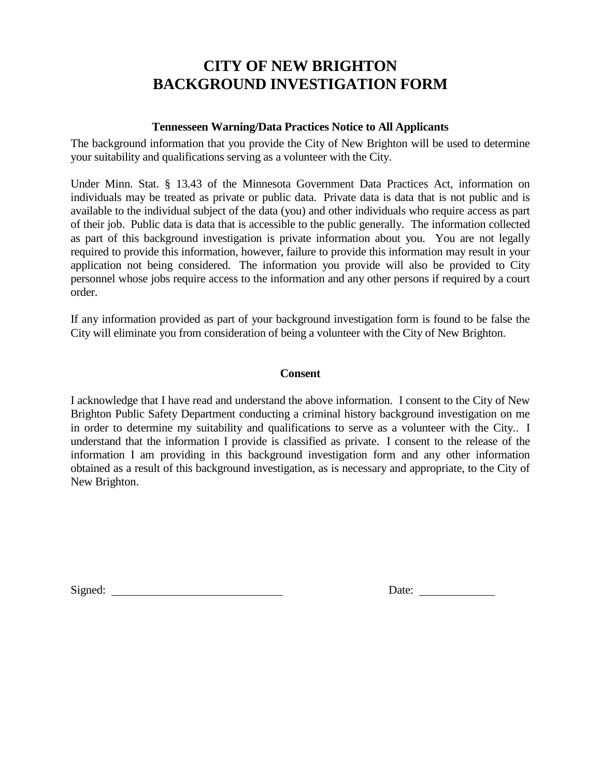### **CITY OF NEW BRIGHTON BACKGROUND INVESTIGATION FORM**

#### **Tennesseen Warning/Data Practices Notice to All Applicants**

The background information that you provide the City of New Brighton will be used to determine your suitability and qualifications serving as a volunteer with the City.

Under Minn. Stat. § 13.43 of the Minnesota Government Data Practices Act, information on individuals may be treated as private or public data. Private data is data that is not public and is available to the individual subject of the data (you) and other individuals who require access as part of their job. Public data is data that is accessible to the public generally. The information collected as part of this background investigation is private information about you. You are not legally required to provide this information, however, failure to provide this information may result in your application not being considered. The information you provide will also be provided to City personnel whose jobs require access to the information and any other persons if required by a court order.

If any information provided as part of your background investigation form is found to be false the City will eliminate you from consideration of being a volunteer with the City of New Brighton.

#### **Consent**

I acknowledge that I have read and understand the above information. I consent to the City of New Brighton Public Safety Department conducting a criminal history background investigation on me in order to determine my suitability and qualifications to serve as a volunteer with the City.. I understand that the information I provide is classified as private. I consent to the release of the information I am providing in this background investigation form and any other information obtained as a result of this background investigation, as is necessary and appropriate, to the City of New Brighton.

Signed: Date: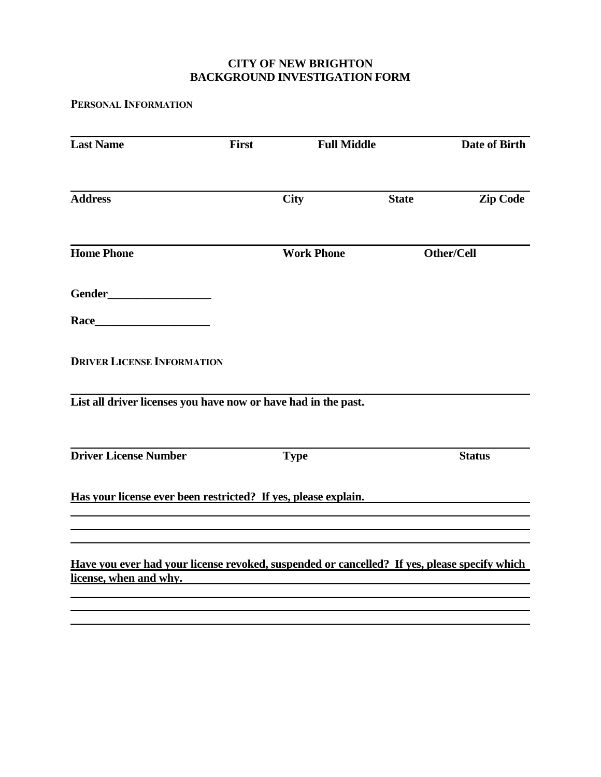#### **CITY OF NEW BRIGHTON BACKGROUND INVESTIGATION FORM**

**PERSONAL INFORMATION**

| <b>Last Name</b>                                                                                                       | <b>Full Middle</b><br>First |                   |              | Date of Birth   |
|------------------------------------------------------------------------------------------------------------------------|-----------------------------|-------------------|--------------|-----------------|
| <b>Address</b>                                                                                                         |                             | <b>City</b>       | <b>State</b> | <b>Zip Code</b> |
| <b>Home Phone</b>                                                                                                      |                             | <b>Work Phone</b> |              | Other/Cell      |
|                                                                                                                        |                             |                   |              |                 |
|                                                                                                                        |                             |                   |              |                 |
| <b>DRIVER LICENSE INFORMATION</b>                                                                                      |                             |                   |              |                 |
| List all driver licenses you have now or have had in the past.                                                         |                             |                   |              |                 |
| <b>Driver License Number</b>                                                                                           |                             | <b>Type</b>       |              | <b>Status</b>   |
| Has your license ever been restricted? If yes, please explain.                                                         |                             |                   |              |                 |
|                                                                                                                        |                             |                   |              |                 |
| Have you ever had your license revoked, suspended or cancelled? If yes, please specify which<br>license, when and why. |                             |                   |              |                 |
|                                                                                                                        |                             |                   |              |                 |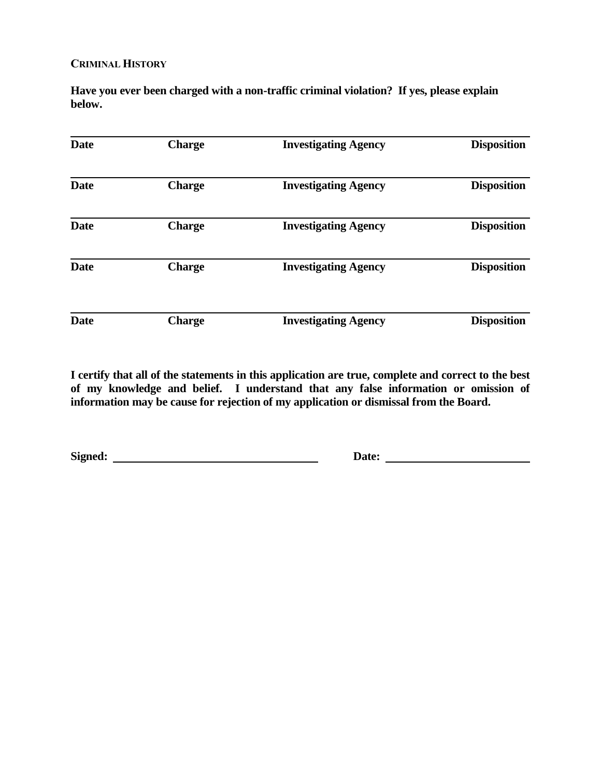#### **CRIMINAL HISTORY**

**Have you ever been charged with a non-traffic criminal violation? If yes, please explain below.**

| <b>Date</b> | <b>Charge</b> | <b>Investigating Agency</b> | <b>Disposition</b> |
|-------------|---------------|-----------------------------|--------------------|
| <b>Date</b> | <b>Charge</b> | <b>Investigating Agency</b> | <b>Disposition</b> |
| <b>Date</b> | <b>Charge</b> | <b>Investigating Agency</b> | <b>Disposition</b> |
| <b>Date</b> | <b>Charge</b> | <b>Investigating Agency</b> | <b>Disposition</b> |
| <b>Date</b> | <b>Charge</b> | <b>Investigating Agency</b> | <b>Disposition</b> |

**I certify that all of the statements in this application are true, complete and correct to the best of my knowledge and belief. I understand that any false information or omission of information may be cause for rejection of my application or dismissal from the Board.**

**Signed: Date:**